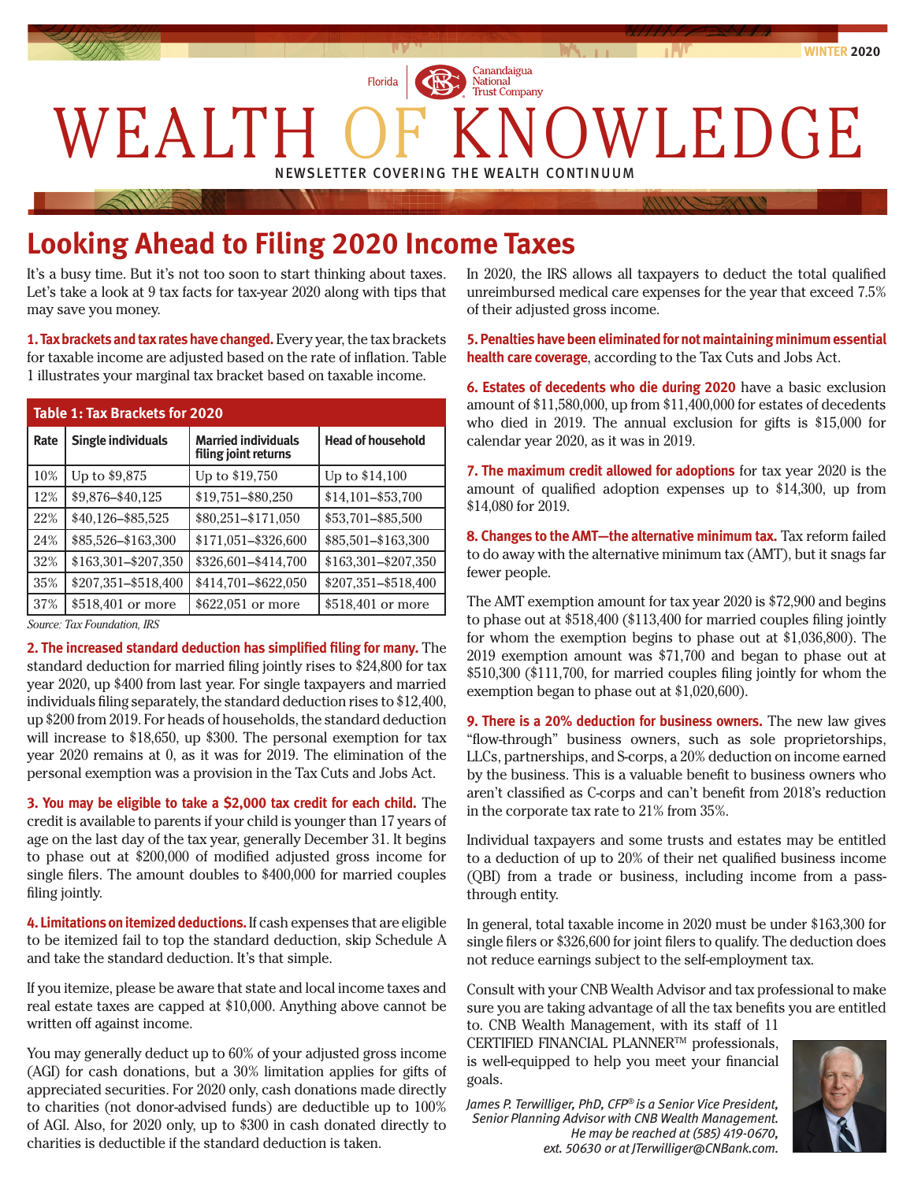

# **Looking Ahead to Filing 2020 Income Taxes**

It's a busy time. But it's not too soon to start thinking about taxes. Let's take a look at 9 tax facts for tax-year 2020 along with tips that may save you money.

**1. Tax brackets and tax rates have changed.** Every year, the tax brackets for taxable income are adjusted based on the rate of inflation. Table 1 illustrates your marginal tax bracket based on taxable income.

| <b>Table 1: Tax Brackets for 2020</b> |                     |                                                    |                          |
|---------------------------------------|---------------------|----------------------------------------------------|--------------------------|
| Rate                                  | Single individuals  | <b>Married individuals</b><br>filing joint returns | <b>Head of household</b> |
| 10%                                   | Up to \$9,875       | Up to \$19,750                                     | Up to \$14,100           |
| 12%                                   | \$9,876-\$40,125    | \$19,751-\$80,250                                  | \$14,101-\$53,700        |
| 22%                                   | \$40,126-\$85,525   | \$80,251-\$171,050                                 | \$53,701-\$85,500        |
| 24%                                   | \$85,526-\$163,300  | \$171,051-\$326,600                                | \$85,501-\$163,300       |
| 32%                                   | \$163,301-\$207,350 | \$326,601-\$414,700                                | \$163,301-\$207,350      |
| 35%                                   | \$207,351-\$518,400 | \$414,701-\$622,050                                | \$207,351-\$518,400      |
| 37%                                   | \$518,401 or more   | \$622,051 or more                                  | \$518,401 or more        |

*Source: Tax Foundation, IRS*

**2. The increased standard deduction has simplified filing for many.** The standard deduction for married filing jointly rises to \$24,800 for tax year 2020, up \$400 from last year. For single taxpayers and married individuals filing separately, the standard deduction rises to \$12,400, up \$200 from 2019. For heads of households, the standard deduction will increase to \$18,650, up \$300. The personal exemption for tax year 2020 remains at 0, as it was for 2019. The elimination of the personal exemption was a provision in the Tax Cuts and Jobs Act.

**3. You may be eligible to take a \$2,000 tax credit for each child.** The credit is available to parents if your child is younger than 17 years of age on the last day of the tax year, generally December 31. It begins to phase out at \$200,000 of modified adjusted gross income for single filers. The amount doubles to \$400,000 for married couples filing jointly.

**4. Limitations on itemized deductions.** If cash expenses that are eligible to be itemized fail to top the standard deduction, skip Schedule A and take the standard deduction. It's that simple.

If you itemize, please be aware that state and local income taxes and real estate taxes are capped at \$10,000. Anything above cannot be written off against income.

You may generally deduct up to 60% of your adjusted gross income (AGI) for cash donations, but a 30% limitation applies for gifts of appreciated securities. For 2020 only, cash donations made directly to charities (not donor-advised funds) are deductible up to 100% of AGI. Also, for 2020 only, up to \$300 in cash donated directly to charities is deductible if the standard deduction is taken.

In 2020, the IRS allows all taxpayers to deduct the total qualified unreimbursed medical care expenses for the year that exceed 7.5% of their adjusted gross income.

**5. Penalties have been eliminated for not maintaining minimum essential health care coverage**, according to the Tax Cuts and Jobs Act.

**6. Estates of decedents who die during 2020** have a basic exclusion amount of \$11,580,000, up from \$11,400,000 for estates of decedents who died in 2019. The annual exclusion for gifts is \$15,000 for calendar year 2020, as it was in 2019.

**7. The maximum credit allowed for adoptions** for tax year 2020 is the amount of qualified adoption expenses up to \$14,300, up from \$14,080 for 2019.

**8. Changes to the AMT—the alternative minimum tax.** Tax reform failed to do away with the alternative minimum tax (AMT), but it snags far fewer people.

The AMT exemption amount for tax year 2020 is \$72,900 and begins to phase out at \$518,400 (\$113,400 for married couples filing jointly for whom the exemption begins to phase out at \$1,036,800). The 2019 exemption amount was \$71,700 and began to phase out at \$510,300 (\$111,700, for married couples filing jointly for whom the exemption began to phase out at \$1,020,600).

**9. There is a 20% deduction for business owners.** The new law gives "flow-through" business owners, such as sole proprietorships, LLCs, partnerships, and S-corps, a 20% deduction on income earned by the business. This is a valuable benefit to business owners who aren't classified as C-corps and can't benefit from 2018's reduction in the corporate tax rate to 21% from 35%.

Individual taxpayers and some trusts and estates may be entitled to a deduction of up to 20% of their net qualified business income (QBI) from a trade or business, including income from a passthrough entity.

In general, total taxable income in 2020 must be under \$163,300 for single filers or \$326,600 for joint filers to qualify. The deduction does not reduce earnings subject to the self-employment tax.

Consult with your CNB Wealth Advisor and tax professional to make sure you are taking advantage of all the tax benefits you are entitled to. CNB Wealth Management, with its staff of 11

CERTIFIED FINANCIAL PLANNERTM professionals, is well-equipped to help you meet your financial goals.